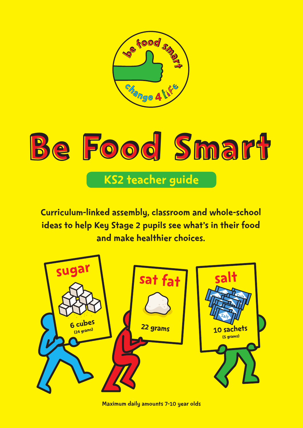

# Be Food Smart KS2 teacher guide

Curriculum-linked assembly, classroom and whole-school ideas to help Key Stage 2 pupils see what's in their food and make healthier choices.



Maximum daily amounts 7-10 year olds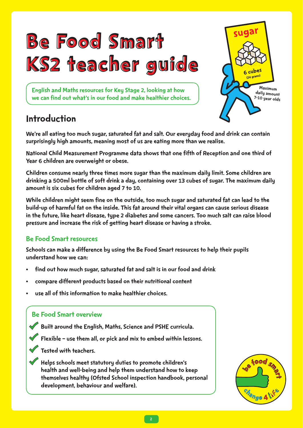





## Introduction

We're all eating too much sugar, saturated fat and salt. Our everyday food and drink can contain surprisingly high amounts, meaning most of us are eating more than we realise.

National Child Measurement Programme data shows that one fifth of Reception and one third of Year 6 children are overweight or obese.

Children consume nearly three times more sugar than the maximum daily limit. Some children are drinking a 500ml bottle of soft drink a day, containing over 13 cubes of sugar. The maximum daily amount is six cubes for children aged 7 to 10.

While children might seem fine on the outside, too much sugar and saturated fat can lead to the build-up of harmful fat on the inside. This fat around their vital organs can cause serious disease in the future, like heart disease, type 2 diabetes and some cancers. Too much salt can raise blood pressure and increase the risk of getting heart disease or having a stroke.

#### Be Food Smart resources

Schools can make a difference by using the Be Food Smart resources to help their pupils understand how we can:

- find out how much sugar, saturated fat and salt is in our food and drink
- compare different products based on their nutritional content
- use all of this information to make healthier choices.

## Be Food Smart overview

• Built around the English, Maths, Science and PSHE curricula.

• Flexible – use them all, or pick and mix to embed within lessons.

• Tested with teachers.

• Helps schools meet statutory duties to promote children's health and well-being and help them understand how to keep themselves healthy (Ofsted School inspection handbook, personal development, behaviour and welfare).

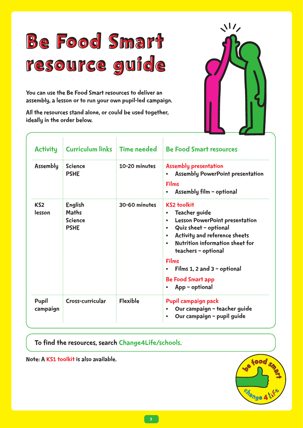# Be Food Smart resource guide

You can use the Be Food Smart resources to deliver an assembly, a lesson or to run your own pupil-led campaign.

All the resources stand alone, or could be used together, ideally in the order below.



| <b>Activity</b>   |                                                          |                 | Curriculum links Time needed Be Food Smart resources                                                                                                                                                                                                                                                                                    |
|-------------------|----------------------------------------------------------|-----------------|-----------------------------------------------------------------------------------------------------------------------------------------------------------------------------------------------------------------------------------------------------------------------------------------------------------------------------------------|
| <b>Assembly</b>   | <b>Science</b><br><b>PSHE</b>                            | 10-20 minutes   | <b>Assembly presentation</b><br><b>Assembly PowerPoint presentation</b><br><b>Films</b><br>Assembly film - optional                                                                                                                                                                                                                     |
| KS2<br>lesson     | English<br><b>Maths</b><br><b>Science</b><br><b>PSHE</b> | 30-60 minutes   | <b>KS2 toolkit</b><br><b>Teacher guide</b><br><b>Lesson PowerPoint presentation</b><br>$\bullet$<br>Quiz sheet - optional<br>$\bullet$<br>Activity and reference sheets<br><b>Nutrition information sheet for</b><br>teachers - optional<br><b>Films</b><br>Films 1, 2 and $3$ - optional<br><b>Be Food Smart app</b><br>App - optional |
| Pupil<br>campaign | Cross-curricular                                         | <b>Flexible</b> | Pupil campaign pack<br>Our campaign - teacher guide<br>Our campaign - pupil guide                                                                                                                                                                                                                                                       |

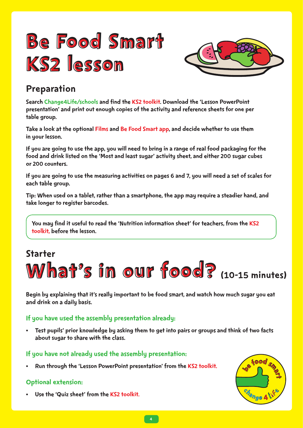



Search Change4Life/schools and find the KS2 toolkit. Download the 'Lesson PowerPoint presentation' and print out enough copies of the activity and reference sheets for one per table group.

Take a look at the optional Films and Be Food Smart app, and decide whether to use them in your lesson.

If you are going to use the app, you will need to bring in a range of real food packaging for the food and drink listed on the 'Most and least sugar' activity sheet, and either 200 sugar cubes or 200 counters.

If you are going to use the measuring activities on pages 6 and 7, you will need a set of scales for each table group.

Tip: When used on a tablet, rather than a smartphone, the app may require a steadier hand, and take longer to register barcodes.

You may find it useful to read the 'Nutrition information sheet' for teachers. from the KS2 toolkit, before the lesson.

## Starter



Begin by explaining that it's really important to be food smart, and watch how much sugar you eat and drink on a daily basis.

#### If you have used the assembly presentation already:

• Test pupils' prior knowledge by asking them to get into pairs or groups and think of two facts about sugar to share with the class.

#### If you have not already used the assembly presentation:

• Run through the 'Lesson PowerPoint presentation' from the KS2 toolkit.

#### Optional extension:

Use the 'Quiz sheet' from the KS2 toolkit.

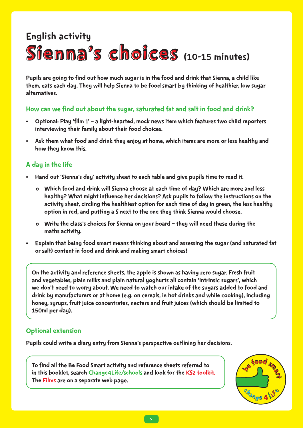## English activity

# Sienna's choices (10-15 minutes)

them, eats each day. They will help Sienna to be food smart by thinking of healthier, low sugar alternatives.

#### How can we find out about the sugar, saturated fat and salt in food and drink?

- Optional: Play 'film 1' a light-hearted, mock news item which features two child reporters interviewing their family about their food choices.
- Ask them what food and drink they enjoy at home, which items are more or less healthy and how they know this.

#### A day in the life

- Hand out 'Sienna's day' activity sheet to each table and give pupils time to read it.
	- o Which food and drink will Sienna choose at each time of day? Which are more and less healthy? What might influence her decisions? Ask pupils to follow the instructions on the activity sheet, circling the healthiest option for each time of day in green, the less healthy option in red, and putting a S next to the one they think Sienna would choose.
	- o Write the class's choices for Sienna on your board they will need these during the maths activity.
- Explain that being food smart means thinking about and assessing the sugar (and saturated fat or salt) content in food and drink and making smart choices!

Puplils are going to find out how much sugar is in the food and drink that Sienna, a child like that Sienna, a child like that Sienna, a child like that Sienna, the food smart by thinking of healthier, low sugar<br>alternativ On the activity and reference sheets, the apple is shown as having zero sugar. Fresh fruit and vegetables, plain milks and plain natural yoghurts all contain 'intrinsic sugars', which we don't need to worry about. We need to watch our intake of the sugars added to food and drink by manufacturers or at home (e.g. on cereals, in hot drinks and while cooking), including honey, syrups, fruit juice concentrates, nectars and fruit juices (which should be limited to 150ml per day).

#### Optional extension

Pupils could write a diary entry from Sienna's perspective outlining her decisions.

To find all the Be Food Smart activity and reference sheets referred to in this booklet, search Change4Life/schools and look for the KS2 toolkit. The Films are on a separate web page.

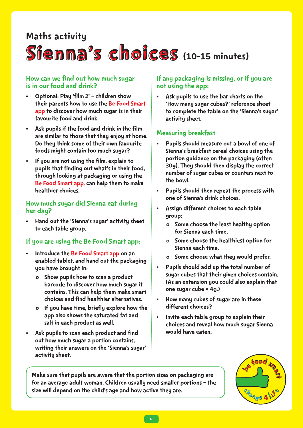### Maths activity

# Sienna's choices (10-15 minutes)

#### How can we find out how much sugar is in our food and drink?

- Optional: Play 'film 2' children show their parents how to use the Be Food Smart app to discover how much sugar is in their favourite food and drink.
- Ask pupils if the food and drink in the film are similar to those that they enjoy at home. Do they think some of their own favourite foods might contain too much sugar?
- If you are not using the film, explain to pupils that finding out what's in their food, through looking at packaging or using the Be Food Smart app, can help them to make healthier choices.

#### How much sugar did Sienna eat during her day?

• Hand out the 'Sienna's sugar' activity sheet to each table group.

#### If you are using the Be Food Smart app:

- Introduce the Be Food Smart app on an enabled tablet, and hand out the packaging you have brought in:
	- o Show pupils how to scan a product barcode to discover how much sugar it contains. This can help them make smart choices and find healthier alternatives.
	- o If you have time, briefly explore how the app also shows the saturated fat and salt in each product as well.
- Ask pupils to scan each product and find out how much sugar a portion contains, writing their answers on the 'Sienna's sugar' activity sheet.

#### If any packaging is missing, or if you are not using the app:

Ask pupils to use the bar charts on the 'How many sugar cubes?' reference sheet to complete the table on the 'Sienna's sugar' activity sheet.

#### Measuring breakfast

- Pupils should measure out a bowl of one of Sienna's breakfast cereal choices using the portion guidance on the packaging (often 30g). They should then display the correct number of sugar cubes or counters next to the bowl.
- Pupils should then repeat the process with one of Sienna's drink choices.
- Assign different choices to each table group:
	- o Some choose the least healthy option for Sienna each time.
	- o Some choose the healthiest option for Sienna each time.
	- o Some choose what they would prefer.
- Pupils should add up the total number of sugar cubes that their given choices contain. (As an extension you could also explain that one sugar cube = 4g.)
- How many cubes of sugar are in these different choices?
- Invite each table group to explain their choices and reveal how much sugar Sienna would have eaten.

Make sure that pupils are aware that the portion sizes on packaging are for an average adult woman. Children usually need smaller portions – the size will depend on the child's age and how active they are.

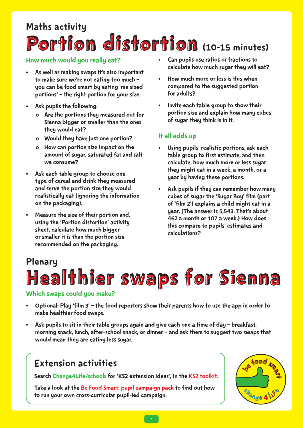# Portion distortion (10-15 minutes) Maths activity

- As well as making swaps it's also important to make sure we're not eating too much – you can be food smart by eating 'me sized portions' – the right portion for your size.
- Ask pupils the following:
	- o Are the portions they measured out for Sienna bigger or smaller than the ones they would eat?
	- o Would they have just one portion?
	- o How can portion size impact on the amount of sugar, saturated fat and salt we consume?
- Ask each table group to choose one type of cereal and drink they measured and serve the portion size they would realistically eat (ignoring the information on the packaging).
- Measure the size of their portion and, using the 'Portion distortion' activity sheet, calculate how much bigger or smaller it is than the portion size recommended on the packaging.
- Can pupils use ratios or fractions to calculate how much sugar they will eat?
- How much more or less is this when compared to the suggested portion for adults?
- Invite each table group to show their portion size and explain how many cubes of sugar they think is in it.

#### It all adds up

- Using pupils' realistic portions, ask each table group to first estimate, and then calculate, how much more or less sugar they might eat in a week, a month, or a year by having these portions.
- Ask pupils if they can remember how many cubes of sugar the 'Sugar Boy' film (part of 'film 2') explains a child might eat in a year. (The answer is 5,543. That's about 462 a month or 107 a week.) How does this compare to pupils' estimates and calculations?

# How much would you really ear?<br>  $\bullet$  as well as making sapps if a slot important<br>
to make sure were not earling too much  $\bullet$  contact to much more or less tie this would<br>
you can be food munch by eating for make of the ma Healthier swaps for Sienna Plenary

#### Which swaps could you make?

- Optional: Play 'film 3' the food reporters show their parents how to use the app in order to make healthier food swaps.
- Ask pupils to sit in their table groups again and give each one a time of day breakfast, morning snack, lunch, after-school snack, or dinner – and ask them to suggest two swaps that would mean they are eating less sugar.

## Extension activities

Search Change4Life/schools for 'KS2 extension ideas', in the KS2 toolkit.

Take a look at the Be Food Smart: pupil campaign pack to find out how to run your own cross-curricular pupil-led campaign.